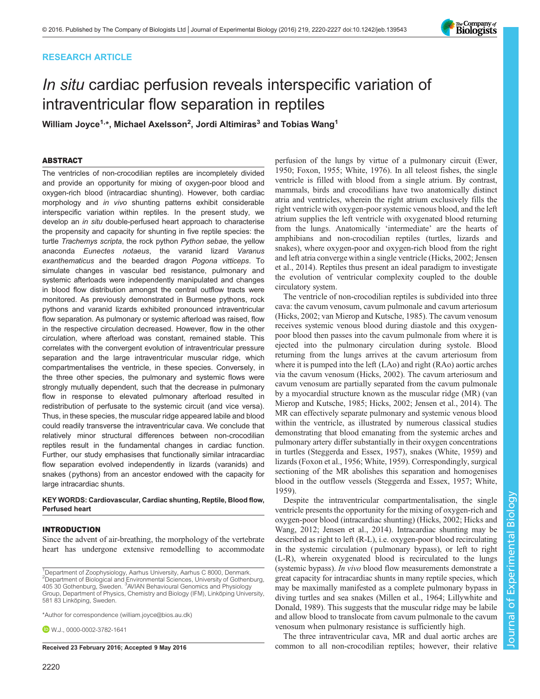# RESEARCH ARTICLE

# In situ cardiac perfusion reveals interspecific variation of intraventricular flow separation in reptiles

William Joyce<sup>1,\*</sup>, Michael Axelsson<sup>2</sup>, Jordi Altimiras<sup>3</sup> and Tobias Wang<sup>1</sup>

# ABSTRACT

The ventricles of non-crocodilian reptiles are incompletely divided and provide an opportunity for mixing of oxygen-poor blood and oxygen-rich blood (intracardiac shunting). However, both cardiac morphology and in vivo shunting patterns exhibit considerable interspecific variation within reptiles. In the present study, we develop an in situ double-perfused heart approach to characterise the propensity and capacity for shunting in five reptile species: the turtle Trachemys scripta, the rock python Python sebae, the yellow anaconda Eunectes notaeus, the varanid lizard Varanus exanthematicus and the bearded dragon Pogona vitticeps. To simulate changes in vascular bed resistance, pulmonary and systemic afterloads were independently manipulated and changes in blood flow distribution amongst the central outflow tracts were monitored. As previously demonstrated in Burmese pythons, rock pythons and varanid lizards exhibited pronounced intraventricular flow separation. As pulmonary or systemic afterload was raised, flow in the respective circulation decreased. However, flow in the other circulation, where afterload was constant, remained stable. This correlates with the convergent evolution of intraventricular pressure separation and the large intraventricular muscular ridge, which compartmentalises the ventricle, in these species. Conversely, in the three other species, the pulmonary and systemic flows were strongly mutually dependent, such that the decrease in pulmonary flow in response to elevated pulmonary afterload resulted in redistribution of perfusate to the systemic circuit (and vice versa). Thus, in these species, the muscular ridge appeared labile and blood could readily transverse the intraventricular cava. We conclude that relatively minor structural differences between non-crocodilian reptiles result in the fundamental changes in cardiac function. Further, our study emphasises that functionally similar intracardiac flow separation evolved independently in lizards (varanids) and snakes (pythons) from an ancestor endowed with the capacity for large intracardiac shunts.

## KEY WORDS: Cardiovascular, Cardiac shunting, Reptile, Blood flow, Perfused heart

# INTRODUCTION

Since the advent of air-breathing, the morphology of the vertebrate heart has undergone extensive remodelling to accommodate

\*Author for correspondence [\(william.joyce@bios.au.dk\)](mailto:william.joyce@bios.au.dk)

**D** W.J., [0000-0002-3782-1641](http://orcid.org/0000-0002-3782-1641)

perfusion of the lungs by virtue of a pulmonary circuit ([Ewer,](#page-6-0) [1950; Foxon, 1955;](#page-6-0) [White, 1976](#page-7-0)). In all teleost fishes, the single ventricle is filled with blood from a single atrium. By contrast, mammals, birds and crocodilians have two anatomically distinct atria and ventricles, wherein the right atrium exclusively fills the right ventricle with oxygen-poor systemic venous blood, and the left atrium supplies the left ventricle with oxygenated blood returning from the lungs. Anatomically 'intermediate' are the hearts of amphibians and non-crocodilian reptiles (turtles, lizards and snakes), where oxygen-poor and oxygen-rich blood from the right and left atria converge within a single ventricle [\(Hicks, 2002](#page-7-0); [Jensen](#page-7-0) [et al., 2014\)](#page-7-0). Reptiles thus present an ideal paradigm to investigate the evolution of ventricular complexity coupled to the double circulatory system.

The ventricle of non-crocodilian reptiles is subdivided into three cava: the cavum venosum, cavum pulmonale and cavum arteriosum [\(Hicks, 2002](#page-7-0); [van Mierop and Kutsche, 1985](#page-7-0)). The cavum venosum receives systemic venous blood during diastole and this oxygenpoor blood then passes into the cavum pulmonale from where it is ejected into the pulmonary circulation during systole. Blood returning from the lungs arrives at the cavum arteriosum from where it is pumped into the left (LAo) and right (RAo) aortic arches via the cavum venosum ([Hicks, 2002](#page-7-0)). The cavum arteriosum and cavum venosum are partially separated from the cavum pulmonale by a myocardial structure known as the muscular ridge (MR) [\(van](#page-7-0) [Mierop and Kutsche, 1985; Hicks, 2002](#page-7-0); [Jensen et al., 2014](#page-7-0)). The MR can effectively separate pulmonary and systemic venous blood within the ventricle, as illustrated by numerous classical studies demonstrating that blood emanating from the systemic arches and pulmonary artery differ substantially in their oxygen concentrations in turtles [\(Steggerda and Essex, 1957](#page-7-0)), snakes [\(White, 1959\)](#page-7-0) and lizards ([Foxon et al., 1956; White, 1959\)](#page-7-0). Correspondingly, surgical sectioning of the MR abolishes this separation and homogenises blood in the outflow vessels ([Steggerda and Essex, 1957; White,](#page-7-0) [1959\)](#page-7-0).

Despite the intraventricular compartmentalisation, the single ventricle presents the opportunity for the mixing of oxygen-rich and oxygen-poor blood (intracardiac shunting) ([Hicks, 2002](#page-7-0); [Hicks and](#page-7-0) [Wang, 2012; Jensen et al., 2014\)](#page-7-0). Intracardiac shunting may be described as right to left (R-L), i.e. oxygen-poor blood recirculating in the systemic circulation ( pulmonary bypass), or left to right (L-R), wherein oxygenated blood is recirculated to the lungs (systemic bypass). In vivo blood flow measurements demonstrate a great capacity for intracardiac shunts in many reptile species, which may be maximally manifested as a complete pulmonary bypass in diving turtles and sea snakes ([Millen et al., 1964; Lillywhite and](#page-7-0) [Donald, 1989\)](#page-7-0). This suggests that the muscular ridge may be labile and allow blood to translocate from cavum pulmonale to the cavum venosum when pulmonary resistance is sufficiently high.

The three intraventricular cava, MR and dual aortic arches are Received 23 February 2016; Accepted 9 May 2016 common to all non-crocodilian reptiles; however, their relative



<sup>&</sup>lt;sup>1</sup>Department of Zoophysiology, Aarhus University, Aarhus C 8000, Denmark. <sup>2</sup>Department of Biological and Environmental Sciences, University of Gothenburg, 405 30 Gothenburg, Sweden. <sup>3</sup> AVIAN Behavioural Genomics and Physiology Group, Department of Physics, Chemistry and Biology (IFM), Linköping University, 581 83 Linköping, Sweden.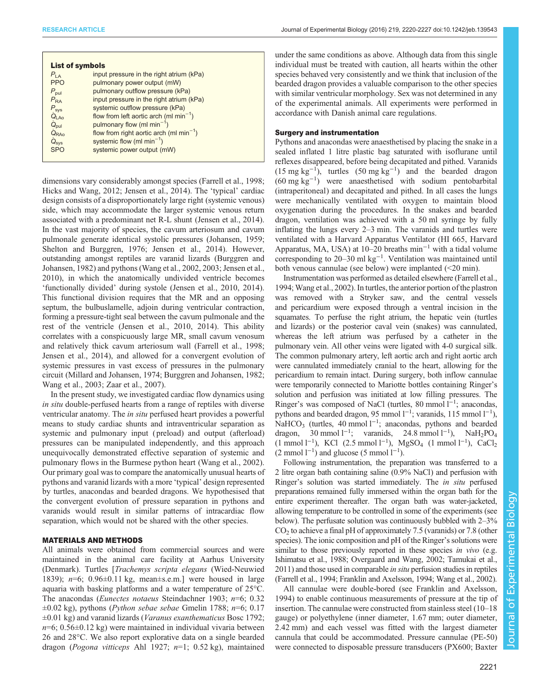| <b>List of symbols</b> |                                              |
|------------------------|----------------------------------------------|
| $P_{IA}$               | input pressure in the right atrium (kPa)     |
| <b>PPO</b>             | pulmonary power output (mW)                  |
| $P_{\text{pul}}$       | pulmonary outflow pressure (kPa)             |
| $P_{\text{RA}}$        | input pressure in the right atrium (kPa)     |
| $P_{\text{sys}}$       | systemic outflow pressure (kPa)              |
| Q <sub>LAo</sub>       | flow from left aortic arch (ml $min^{-1}$ )  |
| $\dot{Q}_{\text{pul}}$ | pulmonary flow (ml min <sup>-1</sup> )       |
| $Q_{RAO}$              | flow from right aortic arch (ml $min^{-1}$ ) |
| $Q_{sys}$              | systemic flow (ml $min^{-1}$ )               |
| <b>SPO</b>             | systemic power output (mW)                   |
|                        |                                              |

dimensions vary considerably amongst species ([Farrell et al., 1998](#page-6-0); [Hicks and Wang, 2012; Jensen et al., 2014\)](#page-7-0). The 'typical' cardiac design consists of a disproportionately large right (systemic venous) side, which may accommodate the larger systemic venous return associated with a predominant net R-L shunt [\(Jensen et al., 2014\)](#page-7-0). In the vast majority of species, the cavum arteriosum and cavum pulmonale generate identical systolic pressures [\(Johansen, 1959](#page-7-0); [Shelton and Burggren, 1976; Jensen et al., 2014](#page-7-0)). However, outstanding amongst reptiles are varanid lizards [\(Burggren and](#page-6-0) [Johansen, 1982\)](#page-6-0) and pythons ([Wang et al., 2002, 2003; Jensen et al.,](#page-7-0) [2010](#page-7-0)), in which the anatomically undivided ventricle becomes 'functionally divided' during systole ([Jensen et al., 2010](#page-7-0), [2014\)](#page-7-0). This functional division requires that the MR and an opposing septum, the bulbuslamelle, adjoin during ventricular contraction, forming a pressure-tight seal between the cavum pulmonale and the rest of the ventricle ([Jensen et al., 2010](#page-7-0), [2014\)](#page-7-0). This ability correlates with a conspicuously large MR, small cavum venosum and relatively thick cavum arteriosum wall ([Farrell et al., 1998](#page-6-0); [Jensen et al., 2014\)](#page-7-0), and allowed for a convergent evolution of systemic pressures in vast excess of pressures in the pulmonary circuit [\(Millard and Johansen, 1974](#page-7-0); [Burggren and Johansen, 1982](#page-6-0); [Wang et al., 2003](#page-7-0); [Zaar et al., 2007\)](#page-7-0).

In the present study, we investigated cardiac flow dynamics using in situ double-perfused hearts from a range of reptiles with diverse ventricular anatomy. The in situ perfused heart provides a powerful means to study cardiac shunts and intraventricular separation as systemic and pulmonary input ( preload) and output (afterload) pressures can be manipulated independently, and this approach unequivocally demonstrated effective separation of systemic and pulmonary flows in the Burmese python heart ([Wang et al., 2002\)](#page-7-0). Our primary goal was to compare the anatomically unusual hearts of pythons and varanid lizards with a more 'typical' design represented by turtles, anacondas and bearded dragons. We hypothesised that the convergent evolution of pressure separation in pythons and varanids would result in similar patterns of intracardiac flow separation, which would not be shared with the other species.

# MATERIALS AND METHODS

All animals were obtained from commercial sources and were maintained in the animal care facility at Aarhus University (Denmark). Turtles [Trachemys scripta elegans (Wied-Neuwied 1839);  $n=6$ ; 0.96 $\pm$ 0.11 kg, mean $\pm$ s.e.m.] were housed in large aquaria with basking platforms and a water temperature of 25°C. The anacondas (Eunectes notaeus Steindachner 1903; n=6; 0.32  $\pm 0.02$  kg), pythons (*Python sebae sebae* Gmelin 1788; *n*=6; 0.17  $\pm 0.01$  kg) and varanid lizards (*Varanus exanthematicus* Bosc 1792;  $n=6$ ; 0.56 $\pm$ 0.12 kg) were maintained in individual vivaria between 26 and 28°C. We also report explorative data on a single bearded dragon (Pogona vitticeps Ahl 1927;  $n=1$ ; 0.52 kg), maintained under the same conditions as above. Although data from this single individual must be treated with caution, all hearts within the other species behaved very consistently and we think that inclusion of the bearded dragon provides a valuable comparison to the other species with similar ventricular morphology. Sex was not determined in any of the experimental animals. All experiments were performed in accordance with Danish animal care regulations.

## Surgery and instrumentation

Pythons and anacondas were anaesthetised by placing the snake in a sealed inflated 1 litre plastic bag saturated with isoflurane until reflexes disappeared, before being decapitated and pithed. Varanids  $(15 \text{ mg kg}^{-1})$ , turtles  $(50 \text{ mg kg}^{-1})$  and the bearded dragon (60 mg kg−<sup>1</sup> ) were anaesthetised with sodium pentobarbital (intraperitoneal) and decapitated and pithed. In all cases the lungs were mechanically ventilated with oxygen to maintain blood oxygenation during the procedures. In the snakes and bearded dragon, ventilation was achieved with a 50 ml syringe by fully inflating the lungs every 2–3 min. The varanids and turtles were ventilated with a Harvard Apparatus Ventilator (HI 665, Harvard Apparatus, MA, USA) at 10–20 breaths  $\min^{-1}$  with a tidal volume corresponding to 20–30 ml kg−<sup>1</sup> . Ventilation was maintained until both venous cannulae (see below) were implanted (<20 min).

Instrumentation was performed as detailed elsewhere ([Farrell et al.,](#page-6-0) [1994;](#page-6-0) [Wang et al., 2002](#page-7-0)). In turtles, the anterior portion of the plastron was removed with a Stryker saw, and the central vessels and pericardium were exposed through a ventral incision in the squamates. To perfuse the right atrium, the hepatic vein (turtles and lizards) or the posterior caval vein (snakes) was cannulated, whereas the left atrium was perfused by a catheter in the pulmonary vein. All other veins were ligated with 4-0 surgical silk. The common pulmonary artery, left aortic arch and right aortic arch were cannulated immediately cranial to the heart, allowing for the pericardium to remain intact. During surgery, both inflow cannulae were temporarily connected to Mariotte bottles containing Ringer's solution and perfusion was initiated at low filling pressures. The Ringer's was composed of NaCl (turtles, 80 mmol l<sup>-1</sup>; anacondas, pythons and bearded dragon, 95 mmol l<sup>-1</sup>; varanids, 115 mmol l<sup>-1</sup>), NaHCO<sub>3</sub> (turtles, 40 mmol l<sup>-1</sup>; anacondas, pythons and bearded dragon, 30 mmol l<sup>-1</sup>; varanids, 24.8 mmol l<sup>-1</sup>), NaH<sub>2</sub>PO<sub>4</sub>  $(1 \text{ mmol } 1^{-1})$ , KCl  $(2.5 \text{ mmol } 1^{-1})$ , MgSO<sub>4</sub>  $(1 \text{ mmol } 1^{-1})$ , CaCl<sub>2</sub>  $(2 \text{ mmol } 1^{-1})$  and glucose  $(5 \text{ mmol } 1^{-1})$ .

Following instrumentation, the preparation was transferred to a 2 litre organ bath containing saline (0.9% NaCl) and perfusion with Ringer's solution was started immediately. The *in situ* perfused preparations remained fully immersed within the organ bath for the entire experiment thereafter. The organ bath was water-jacketed, allowing temperature to be controlled in some of the experiments (see below). The perfusate solution was continuously bubbled with 2–3%  $CO<sub>2</sub>$  to achieve a final pH of approximately 7.5 (varanids) or 7.8 (other species). The ionic composition and pH of the Ringer's solutions were similar to those previously reported in these species in vivo (e.g. [Ishimatsu et al., 1988; Overgaard and Wang, 2002; Tamukai et al.,](#page-7-0) [2011](#page-7-0)) and those used in comparable in situ perfusion studies in reptiles [\(Farrell et al., 1994;](#page-6-0) [Franklin and Axelsson, 1994](#page-7-0); [Wang et al., 2002\)](#page-7-0).

All cannulae were double-bored (see [Franklin and Axelsson,](#page-7-0) [1994\)](#page-7-0) to enable continuous measurements of pressure at the tip of insertion. The cannulae were constructed from stainless steel (10–18 gauge) or polyethylene (inner diameter, 1.67 mm; outer diameter, 2.42 mm) and each vessel was fitted with the largest diameter cannula that could be accommodated. Pressure cannulae (PE-50) were connected to disposable pressure transducers (PX600; Baxter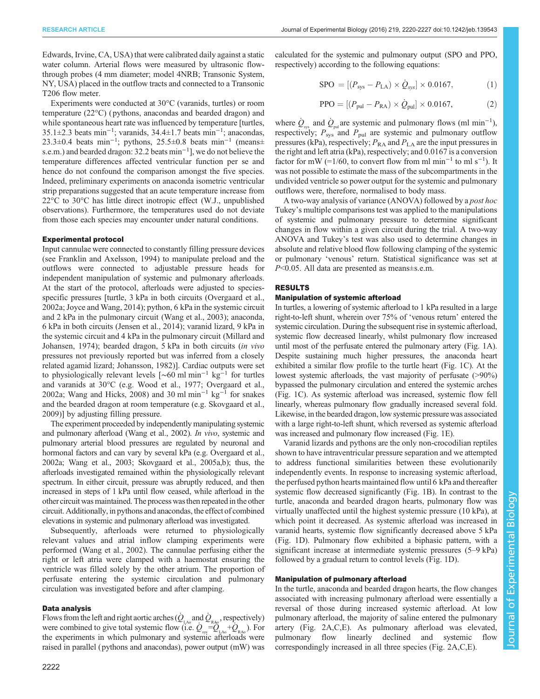Edwards, Irvine, CA, USA) that were calibrated daily against a static water column. Arterial flows were measured by ultrasonic flowthrough probes (4 mm diameter; model 4NRB; Transonic System, NY, USA) placed in the outflow tracts and connected to a Transonic T206 flow meter.

Experiments were conducted at 30°C (varanids, turtles) or room temperature (22°C) ( pythons, anacondas and bearded dragon) and while spontaneous heart rate was influenced by temperature [turtles, 35.1±2.3 beats min−<sup>1</sup> ; varanids, 34.4±1.7 beats min−<sup>1</sup> ; anacondas, 23.3 $\pm$ 0.4 beats min<sup>-1</sup>; pythons, 25.5 $\pm$ 0.8 beats min<sup>-1</sup> (means $\pm$ s.e.m.) and bearded dragon: 32.2 beats min<sup>-1</sup>], we do not believe the temperature differences affected ventricular function per se and hence do not confound the comparison amongst the five species. Indeed, preliminary experiments on anaconda isometric ventricular strip preparations suggested that an acute temperature increase from 22°C to 30°C has little direct inotropic effect (W.J., unpublished observations). Furthermore, the temperatures used do not deviate from those each species may encounter under natural conditions.

#### Experimental protocol

Input cannulae were connected to constantly filling pressure devices (see [Franklin and Axelsson, 1994](#page-7-0)) to manipulate preload and the outflows were connected to adjustable pressure heads for independent manipulation of systemic and pulmonary afterloads. At the start of the protocol, afterloads were adjusted to speciesspecific pressures [turtle, 3 kPa in both circuits ([Overgaard et al.,](#page-7-0) [2002a](#page-7-0); [Joyce and Wang, 2014](#page-7-0)); python, 6 kPa in the systemic circuit and 2 kPa in the pulmonary circuit [\(Wang et al., 2003\)](#page-7-0); anaconda, 6 kPa in both circuits ([Jensen et al., 2014\)](#page-7-0); varanid lizard, 9 kPa in the systemic circuit and 4 kPa in the pulmonary circuit [\(Millard and](#page-7-0) [Johansen, 1974\)](#page-7-0); bearded dragon, 5 kPa in both circuits (in vivo pressures not previously reported but was inferred from a closely related agamid lizard; [Johansson, 1982\)](#page-7-0)]. Cardiac outputs were set to physiologically relevant levels  $\lceil ∼60 \rceil \text{ min}^{-1} \text{ kg}^{-1}$  for turtles and varanids at 30°C (e.g. [Wood et al., 1977; Overgaard et al.,](#page-7-0) [2002a](#page-7-0); [Wang and Hicks, 2008](#page-7-0)) and 30 ml min−<sup>1</sup> kg−<sup>1</sup> for snakes and the bearded dragon at room temperature (e.g. [Skovgaard et al.,](#page-7-0) [2009](#page-7-0))] by adjusting filling pressure.

The experiment proceeded by independently manipulating systemic and pulmonary afterload [\(Wang et al., 2002\)](#page-7-0). In vivo, systemic and pulmonary arterial blood pressures are regulated by neuronal and hormonal factors and can vary by several kPa (e.g. [Overgaard et al.,](#page-7-0) [2002a](#page-7-0); [Wang et al., 2003](#page-7-0); [Skovgaard et al., 2005a,b](#page-7-0)); thus, the afterloads investigated remained within the physiologically relevant spectrum. In either circuit, pressure was abruptly reduced, and then increased in steps of 1 kPa until flow ceased, while afterload in the other circuit was maintained. The process wasthen repeated in the other circuit. Additionally, in pythons and anacondas, the effect of combined elevations in systemic and pulmonary afterload was investigated.

Subsequently, afterloads were returned to physiologically relevant values and atrial inflow clamping experiments were performed [\(Wang et al., 2002](#page-7-0)). The cannulae perfusing either the right or left atria were clamped with a haemostat ensuring the ventricle was filled solely by the other atrium. The proportion of perfusate entering the systemic circulation and pulmonary circulation was investigated before and after clamping.

# Data analysis

Flows from the left and right aortic arches  $(Q_{\text{L}_\text{A}}$  and  $Q_{\text{R}_\text{A0}}$ , respectively)<br>were combined to give total systemic flow  $(Q_{\text{R}_\text{A0}}) = Q_{\text{R}_\text{A0}} + Q_{\text{R}_\text{A0}}$ . were combined to give total systemic flow (i.e.  $Q_{\text{S}} = Q_{\text{L},\Delta} + Q_{\text{R},\Delta}$ ). For the experiments in which pulmonary and systemic afterloads were raised in parallel (pythons and anacondas), power output (mW) was calculated for the systemic and pulmonary output (SPO and PPO, respectively) according to the following equations:

$$
SPO = [(P_{sys} - P_{LA}) \times \dot{Q}_{sys}] \times 0.0167, \tag{1}
$$

$$
PPO = [(Pput - PRA) \times \dot{Q}_{\text{pul}}] \times 0.0167,
$$
 (2)

where  $\dot{Q}_{\text{sys}}$  and  $\dot{Q}_{\text{pul}}$  are systemic and pulmonary flows (ml min<sup>-1</sup>),<br>respectively:  $P_{\text{pul}}$  and  $P_{\text{pul}}$  are systemic and pulmonary outflow respectively;  $P_{sys}$  and  $P_{pul}$  are systemic and pulmonary outflow pressures (kPa), respectively;  $P_{\text{RA}}$  and  $P_{\text{LA}}$  are the input pressures in the right and left atria (kPa), respectively; and 0.0167 is a conversion factor for mW (=1/60, to convert flow from ml min<sup>-1</sup> to ml s<sup>-1</sup>). It was not possible to estimate the mass of the subcompartments in the undivided ventricle so power output for the systemic and pulmonary outflows were, therefore, normalised to body mass.

A two-way analysis of variance (ANOVA) followed by a post hoc Tukey's multiple comparisons test was applied to the manipulations of systemic and pulmonary pressure to determine significant changes in flow within a given circuit during the trial. A two-way ANOVA and Tukey's test was also used to determine changes in absolute and relative blood flow following clamping of the systemic or pulmonary 'venous' return. Statistical significance was set at P<0.05. All data are presented as means±s.e.m.

## RESULTS

#### Manipulation of systemic afterload

In turtles, a lowering of systemic afterload to 1 kPa resulted in a large right-to-left shunt, wherein over 75% of 'venous return' entered the systemic circulation. During the subsequent rise in systemic afterload, systemic flow decreased linearly, whilst pulmonary flow increased until most of the perfusate entered the pulmonary artery [\(Fig. 1](#page-3-0)A). Despite sustaining much higher pressures, the anaconda heart exhibited a similar flow profile to the turtle heart [\(Fig. 1C](#page-3-0)). At the lowest systemic afterloads, the vast majority of perfusate (>90%) bypassed the pulmonary circulation and entered the systemic arches [\(Fig. 1C](#page-3-0)). As systemic afterload was increased, systemic flow fell linearly, whereas pulmonary flow gradually increased several fold. Likewise, in the bearded dragon, low systemic pressure was associated with a large right-to-left shunt, which reversed as systemic afterload was increased and pulmonary flow increased [\(Fig. 1E](#page-3-0)).

Varanid lizards and pythons are the only non-crocodilian reptiles shown to have intraventricular pressure separation and we attempted to address functional similarities between these evolutionarily independently events. In response to increasing systemic afterload, the perfused python hearts maintained flow until 6 kPa and thereafter systemic flow decreased significantly ([Fig. 1B](#page-3-0)). In contrast to the turtle, anaconda and bearded dragon hearts, pulmonary flow was virtually unaffected until the highest systemic pressure (10 kPa), at which point it decreased. As systemic afterload was increased in varanid hearts, systemic flow significantly decreased above 5 kPa [\(Fig. 1](#page-3-0)D). Pulmonary flow exhibited a biphasic pattern, with a significant increase at intermediate systemic pressures (5–9 kPa) followed by a gradual return to control levels [\(Fig. 1](#page-3-0)D).

## Manipulation of pulmonary afterload

In the turtle, anaconda and bearded dragon hearts, the flow changes associated with increasing pulmonary afterload were essentially a reversal of those during increased systemic afterload. At low pulmonary afterload, the majority of saline entered the pulmonary artery [\(Fig. 2A](#page-3-0),C,E). As pulmonary afterload was elevated, pulmonary flow linearly declined and systemic flow correspondingly increased in all three species ([Fig. 2](#page-3-0)A,C,E).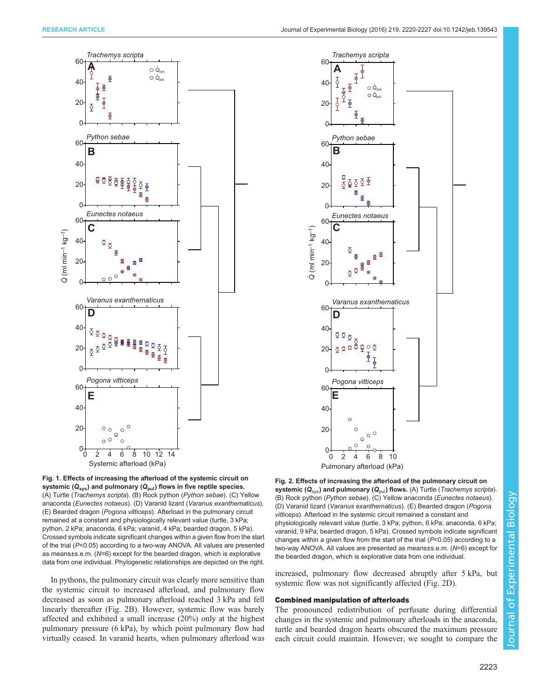<span id="page-3-0"></span>



In pythons, the pulmonary circuit was clearly more sensitive than the systemic circuit to increased afterload, and pulmonary flow decreased as soon as pulmonary afterload reached 3 kPa and fell linearly thereafter (Fig. 2B). However, systemic flow was barely affected and exhibited a small increase (20%) only at the highest pulmonary pressure (6 kPa), by which point pulmonary flow had virtually ceased. In varanid hearts, when pulmonary afterload was



Fig. 2. Effects of increasing the afterload of the pulmonary circuit on systemic ( $\dot{Q}_{sys}$ ) and pulmonary ( $\dot{Q}_{pul}$ ) flows. (A) Turtle (*Trachemys scripta*). (B) Rock python (Python sebae). (C) Yellow anaconda (Eunectes notaeus). (D) Varanid lizard (Varanus exanthematicus). (E) Bearded dragon (Pogona vitticeps). Afterload in the systemic circuit remained a constant and physiologically relevant value (turtle, 3 kPa; python, 6 kPa; anaconda, 6 kPa; varanid, 9 kPa; bearded dragon, 5 kPa). Crossed symbols indicate significant changes within a given flow from the start of the trial  $(P<0.05)$  according to a two-way ANOVA. All values are presented as means±s.e.m. (N=6) except for the bearded dragon, which is explorative data from one individual.

increased, pulmonary flow decreased abruptly after 5 kPa, but systemic flow was not significantly affected (Fig. 2D).

## Combined manipulation of afterloads

The pronounced redistribution of perfusate during differential changes in the systemic and pulmonary afterloads in the anaconda, turtle and bearded dragon hearts obscured the maximum pressure each circuit could maintain. However, we sought to compare the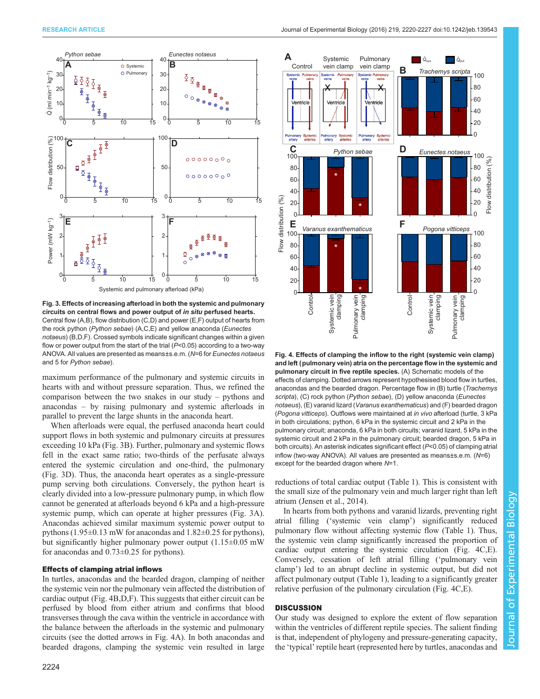

Fig. 3. Effects of increasing afterload in both the systemic and pulmonary circuits on central flows and power output of in situ perfused hearts. Central flow (A,B), flow distribution (C,D) and power (E,F) output of hearts from the rock python (Python sebae) (A,C,E) and yellow anaconda (Eunectes notaeus) (B,D,F). Crossed symbols indicate significant changes within a given flow or power output from the start of the trial ( $P<0.05$ ) according to a two-way ANOVA. All values are presented as means±s.e.m. (N=6 for Eunectes notaeus and 5 for Python sebae).

maximum performance of the pulmonary and systemic circuits in hearts with and without pressure separation. Thus, we refined the comparison between the two snakes in our study – pythons and anacondas – by raising pulmonary and systemic afterloads in parallel to prevent the large shunts in the anaconda heart.

When afterloads were equal, the perfused anaconda heart could support flows in both systemic and pulmonary circuits at pressures exceeding 10 kPa (Fig. 3B). Further, pulmonary and systemic flows fell in the exact same ratio; two-thirds of the perfusate always entered the systemic circulation and one-third, the pulmonary (Fig. 3D). Thus, the anaconda heart operates as a single-pressure pump serving both circulations. Conversely, the python heart is clearly divided into a low-pressure pulmonary pump, in which flow cannot be generated at afterloads beyond 6 kPa and a high-pressure systemic pump, which can operate at higher pressures (Fig. 3A). Anacondas achieved similar maximum systemic power output to pythons (1.95±0.13 mW for anacondas and 1.82±0.25 for pythons), but significantly higher pulmonary power output  $(1.15\pm0.05$  mW for anacondas and 0.73±0.25 for pythons).

## Effects of clamping atrial inflows

In turtles, anacondas and the bearded dragon, clamping of neither the systemic vein nor the pulmonary vein affected the distribution of cardiac output (Fig. 4B,D,F). This suggests that either circuit can be perfused by blood from either atrium and confirms that blood transverses through the cava within the ventricle in accordance with the balance between the afterloads in the systemic and pulmonary circuits (see the dotted arrows in Fig. 4A). In both anacondas and bearded dragons, clamping the systemic vein resulted in large



Fig. 4. Effects of clamping the inflow to the right (systemic vein clamp) and left (pulmonary vein) atria on the percentage flow in the systemic and pulmonary circuit in five reptile species. (A) Schematic models of the effects of clamping. Dotted arrows represent hypothesised blood flow in turtles, anacondas and the bearded dragon. Percentage flow in (B) turtle (Trachemys scripta), (C) rock python (Python sebae), (D) yellow anaconda (Eunectes notaeus), (E) varanid lizard (Varanus exanthematicus) and (F) bearded dragon (Pogona vitticeps). Outflows were maintained at in vivo afterload (turtle, 3 kPa in both circulations; python, 6 kPa in the systemic circuit and 2 kPa in the pulmonary circuit; anaconda, 6 kPa in both circuits; varanid lizard, 5 kPa in the systemic circuit and 2 kPa in the pulmonary circuit; bearded dragon, 5 kPa in both circuits). An asterisk indicates significant effect (P<0.05) of clamping atrial inflow (two-way ANOVA). All values are presented as means±s.e.m. (N=6) except for the bearded dragon where N=1.

reductions of total cardiac output ([Table 1](#page-5-0)). This is consistent with the small size of the pulmonary vein and much larger right than left atrium [\(Jensen et al., 2014](#page-7-0)).

In hearts from both pythons and varanid lizards, preventing right atrial filling ('systemic vein clamp') significantly reduced pulmonary flow without affecting systemic flow ([Table 1\)](#page-5-0). Thus, the systemic vein clamp significantly increased the proportion of cardiac output entering the systemic circulation (Fig. 4C,E). Conversely, cessation of left atrial filling ('pulmonary vein clamp') led to an abrupt decline in systemic output, but did not affect pulmonary output ([Table 1](#page-5-0)), leading to a significantly greater relative perfusion of the pulmonary circulation (Fig. 4C,E).

## **DISCUSSION**

Our study was designed to explore the extent of flow separation within the ventricles of different reptile species. The salient finding is that, independent of phylogeny and pressure-generating capacity, the 'typical' reptile heart (represented here by turtles, anacondas and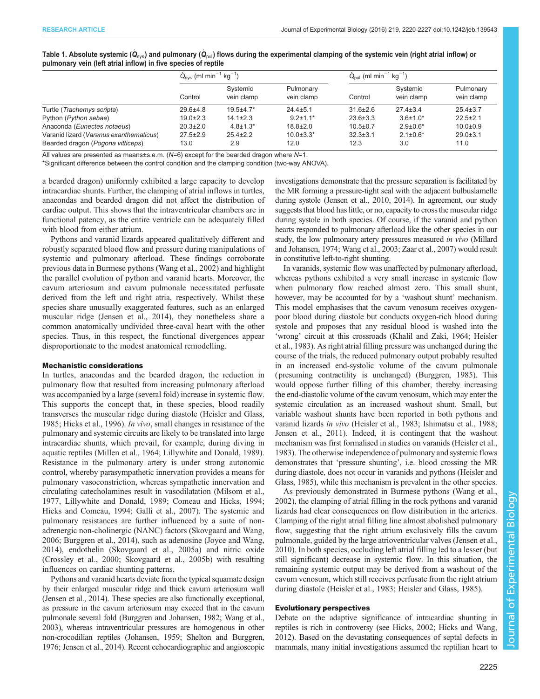|                                         | $Q_{\rm sys}$ (ml min <sup>-1</sup> kg <sup>-1</sup> ) |                        |                         | $Q_{\text{out}}$ (ml min <sup>-1</sup> kg <sup>-1</sup> ) |                        |                         |
|-----------------------------------------|--------------------------------------------------------|------------------------|-------------------------|-----------------------------------------------------------|------------------------|-------------------------|
|                                         | Control                                                | Systemic<br>vein clamp | Pulmonary<br>vein clamp | Control                                                   | Systemic<br>vein clamp | Pulmonary<br>vein clamp |
| Turtle (Trachemys scripta)              | $29.6 + 4.8$                                           | $19.5 + 4.7*$          | $24.4 \pm 5.1$          | $31.6 \pm 2.6$                                            | $27.4 \pm 3.4$         | $25.4 \pm 3.7$          |
| Python (Python sebae)                   | $19.0 \pm 2.3$                                         | $14.1 \pm 2.3$         | $9.2 \pm 1.1$ *         | $23.6 \pm 3.3$                                            | $3.6 \pm 1.0^*$        | $22.5 \pm 2.1$          |
| Anaconda (Eunectes notaeus)             | $20.3 \pm 2.0$                                         | $4.8 \pm 1.3^*$        | $18.8 \pm 2.0$          | $10.5 \pm 0.7$                                            | $2.9 \pm 0.6^*$        | $10.0 \pm 0.9$          |
| Varanid lizard (Varanus exanthematicus) | $27.5 \pm 2.9$                                         | $25.4 \pm 2.2$         | $10.0 \pm 3.3*$         | $32.3 \pm 3.1$                                            | $2.1 \pm 0.6^*$        | $29.0 \pm 3.1$          |
| Bearded dragon (Pogona vitticeps)       | 13.0                                                   | 2.9                    | 12.0                    | 12.3                                                      | 3.0                    | 11.0                    |

<span id="page-5-0"></span>Table 1. Absolute systemic ( $\dot{Q}_{\rm{sv}}$ ) and pulmonary ( $\dot{Q}_{\rm{oul}}$ ) flows during the experimental clamping of the systemic vein (right atrial inflow) or pulmonary vein (left atrial inflow) in five species of reptile

All values are presented as means±s.e.m.  $(N=6)$  except for the bearded dragon where  $N=1$ .

\*Significant difference between the control condition and the clamping condition (two-way ANOVA).

a bearded dragon) uniformly exhibited a large capacity to develop intracardiac shunts. Further, the clamping of atrial inflows in turtles, anacondas and bearded dragon did not affect the distribution of cardiac output. This shows that the intraventricular chambers are in functional patency, as the entire ventricle can be adequately filled with blood from either atrium.

Pythons and varanid lizards appeared qualitatively different and robustly separated blood flow and pressure during manipulations of systemic and pulmonary afterload. These findings corroborate previous data in Burmese pythons ([Wang et al., 2002](#page-7-0)) and highlight the parallel evolution of python and varanid hearts. Moreover, the cavum arteriosum and cavum pulmonale necessitated perfusate derived from the left and right atria, respectively. Whilst these species share unusually exaggerated features, such as an enlarged muscular ridge ([Jensen et al., 2014](#page-7-0)), they nonetheless share a common anatomically undivided three-caval heart with the other species. Thus, in this respect, the functional divergences appear disproportionate to the modest anatomical remodelling.

#### Mechanistic considerations

In turtles, anacondas and the bearded dragon, the reduction in pulmonary flow that resulted from increasing pulmonary afterload was accompanied by a large (several fold) increase in systemic flow. This supports the concept that, in these species, blood readily transverses the muscular ridge during diastole ([Heisler and Glass,](#page-7-0) [1985](#page-7-0); [Hicks et al., 1996\)](#page-7-0). In vivo, small changes in resistance of the pulmonary and systemic circuits are likely to be translated into large intracardiac shunts, which prevail, for example, during diving in aquatic reptiles [\(Millen et al., 1964](#page-7-0); [Lillywhite and Donald, 1989\)](#page-7-0). Resistance in the pulmonary artery is under strong autonomic control, whereby parasympathetic innervation provides a means for pulmonary vasoconstriction, whereas sympathetic innervation and circulating catecholamines result in vasodilatation ([Milsom et al.,](#page-7-0) [1977](#page-7-0), [Lillywhite and Donald, 1989;](#page-7-0) [Comeau and Hicks, 1994](#page-6-0); [Hicks and Comeau, 1994](#page-7-0); [Galli et al., 2007](#page-7-0)). The systemic and pulmonary resistances are further influenced by a suite of nonadrenergic non-cholinergic (NANC) factors [\(Skovgaard and Wang,](#page-7-0) [2006](#page-7-0); [Burggren et al., 2014\)](#page-6-0), such as adenosine ([Joyce and Wang,](#page-7-0) [2014](#page-7-0)), endothelin ([Skovgaard et al., 2005a](#page-7-0)) and nitric oxide [\(Crossley et al., 2000;](#page-6-0) [Skovgaard et al., 2005b](#page-7-0)) with resulting influences on cardiac shunting patterns.

Pythons and varanid hearts deviate from the typical squamate design by their enlarged muscular ridge and thick cavum arteriosum wall [\(Jensen et al., 2014\)](#page-7-0). These species are also functionally exceptional, as pressure in the cavum arteriosum may exceed that in the cavum pulmonale several fold [\(Burggren and Johansen, 1982](#page-6-0); [Wang et al.,](#page-7-0) [2003](#page-7-0)), whereas intraventricular pressures are homogenous in other non-crocodilian reptiles ([Johansen, 1959; Shelton and Burggren,](#page-7-0) [1976](#page-7-0); [Jensen et al., 2014\)](#page-7-0). Recent echocardiographic and angioscopic

investigations demonstrate that the pressure separation is facilitated by the MR forming a pressure-tight seal with the adjacent bulbuslamelle during systole [\(Jensen et al., 2010](#page-7-0), [2014](#page-7-0)). In agreement, our study suggests that blood has little, or no, capacity to cross the muscular ridge during systole in both species. Of course, if the varanid and python hearts responded to pulmonary afterload like the other species in our study, the low pulmonary artery pressures measured in vivo [\(Millard](#page-7-0) [and Johansen, 1974](#page-7-0); [Wang et al., 2003](#page-7-0); [Zaar et al., 2007](#page-7-0)) would result in constitutive left-to-right shunting.

In varanids, systemic flow was unaffected by pulmonary afterload, whereas pythons exhibited a very small increase in systemic flow when pulmonary flow reached almost zero. This small shunt, however, may be accounted for by a 'washout shunt' mechanism. This model emphasises that the cavum venosum receives oxygenpoor blood during diastole but conducts oxygen-rich blood during systole and proposes that any residual blood is washed into the 'wrong' circuit at this crossroads [\(Khalil and Zaki, 1964](#page-7-0); [Heisler](#page-7-0) [et al., 1983](#page-7-0)). As right atrial filling pressure was unchanged during the course of the trials, the reduced pulmonary output probably resulted in an increased end-systolic volume of the cavum pulmonale ( presuming contractility is unchanged) ([Burggren, 1985](#page-6-0)). This would oppose further filling of this chamber, thereby increasing the end-diastolic volume of the cavum venosum, which may enter the systemic circulation as an increased washout shunt. Small, but variable washout shunts have been reported in both pythons and varanid lizards in vivo ([Heisler et al., 1983](#page-7-0); [Ishimatsu et al., 1988](#page-7-0); [Jensen et al., 2011\)](#page-7-0). Indeed, it is contingent that the washout mechanism was first formalised in studies on varanids ([Heisler et al.,](#page-7-0) [1983\)](#page-7-0). The otherwise independence of pulmonary and systemic flows demonstrates that 'pressure shunting', i.e. blood crossing the MR during diastole, does not occur in varanids and pythons ([Heisler and](#page-7-0) [Glass, 1985\)](#page-7-0), while this mechanism is prevalent in the other species.

As previously demonstrated in Burmese pythons ([Wang et al.,](#page-7-0) [2002\)](#page-7-0), the clamping of atrial filling in the rock pythons and varanid lizards had clear consequences on flow distribution in the arteries. Clamping of the right atrial filling line almost abolished pulmonary flow, suggesting that the right atrium exclusively fills the cavum pulmonale, guided by the large atrioventricular valves ([Jensen et al.,](#page-7-0) [2010\)](#page-7-0). In both species, occluding left atrial filling led to a lesser (but still significant) decrease in systemic flow. In this situation, the remaining systemic output may be derived from a washout of the cavum venosum, which still receives perfusate from the right atrium during diastole [\(Heisler et al., 1983](#page-7-0); [Heisler and Glass, 1985](#page-7-0)).

## Evolutionary perspectives

Debate on the adaptive significance of intracardiac shunting in reptiles is rich in controversy (see [Hicks, 2002](#page-7-0); [Hicks and Wang,](#page-7-0) [2012\)](#page-7-0). Based on the devastating consequences of septal defects in mammals, many initial investigations assumed the reptilian heart to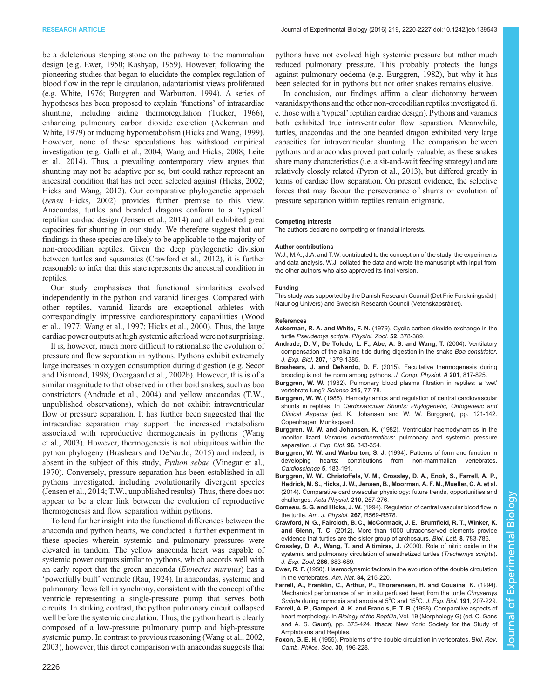<span id="page-6-0"></span>be a deleterious stepping stone on the pathway to the mammalian design (e.g. Ewer, 1950; [Kashyap, 1959\)](#page-7-0). However, following the pioneering studies that began to elucidate the complex regulation of blood flow in the reptile circulation, adaptationist views proliferated (e.g. [White, 1976;](#page-7-0) Burggren and Warburton, 1994). A series of hypotheses has been proposed to explain 'functions' of intracardiac shunting, including aiding thermoregulation ([Tucker, 1966\)](#page-7-0), enhancing pulmonary carbon dioxide excretion (Ackerman and White, 1979) or inducing hypometabolism [\(Hicks and Wang, 1999\)](#page-7-0). However, none of these speculations has withstood empirical investigation (e.g. [Galli et al., 2004](#page-7-0); [Wang and Hicks, 2008](#page-7-0); [Leite](#page-7-0) [et al., 2014\)](#page-7-0). Thus, a prevailing contemporary view argues that shunting may not be adaptive per se, but could rather represent an ancestral condition that has not been selected against [\(Hicks, 2002](#page-7-0); [Hicks and Wang, 2012](#page-7-0)). Our comparative phylogenetic approach (sensu [Hicks, 2002](#page-7-0)) provides further premise to this view. Anacondas, turtles and bearded dragons conform to a 'typical' reptilian cardiac design ([Jensen et al., 2014\)](#page-7-0) and all exhibited great capacities for shunting in our study. We therefore suggest that our findings in these species are likely to be applicable to the majority of non-crocodilian reptiles. Given the deep phylogenetic division between turtles and squamates (Crawford et al., 2012), it is further reasonable to infer that this state represents the ancestral condition in reptiles.

Our study emphasises that functional similarities evolved independently in the python and varanid lineages. Compared with other reptiles, varanid lizards are exceptional athletes with correspondingly impressive cardiorespiratory capabilities [\(Wood](#page-7-0) [et al., 1977](#page-7-0); [Wang et al., 1997; Hicks et al., 2000](#page-7-0)). Thus, the large cardiac power outputs at high systemic afterload were not surprising.

It is, however, much more difficult to rationalise the evolution of pressure and flow separation in pythons. Pythons exhibit extremely large increases in oxygen consumption during digestion (e.g. [Secor](#page-7-0) [and Diamond, 1998; Overgaard et al., 2002b](#page-7-0)). However, this is of a similar magnitude to that observed in other boid snakes, such as boa constrictors (Andrade et al., 2004) and yellow anacondas (T.W., unpublished observations), which do not exhibit intraventricular flow or pressure separation. It has further been suggested that the intracardiac separation may support the increased metabolism associated with reproductive thermogenesis in pythons ([Wang](#page-7-0) [et al., 2003\)](#page-7-0). However, thermogenesis is not ubiquitous within the python phylogeny (Brashears and DeNardo, 2015) and indeed, is absent in the subject of this study, Python sebae ([Vinegar et al.,](#page-7-0) [1970](#page-7-0)). Conversely, pressure separation has been established in all pythons investigated, including evolutionarily divergent species [\(Jensen et al., 2014;](#page-7-0) T.W., unpublished results). Thus, there does not appear to be a clear link between the evolution of reproductive thermogenesis and flow separation within pythons.

To lend further insight into the functional differences between the anaconda and python hearts, we conducted a further experiment in these species wherein systemic and pulmonary pressures were elevated in tandem. The yellow anaconda heart was capable of systemic power outputs similar to pythons, which accords well with an early report that the green anaconda (Eunectes murinus) has a 'powerfully built' ventricle [\(Rau, 1924\)](#page-7-0). In anacondas, systemic and pulmonary flows fell in synchrony, consistent with the concept of the ventricle representing a single-pressure pump that serves both circuits. In striking contrast, the python pulmonary circuit collapsed well before the systemic circulation. Thus, the python heart is clearly composed of a low-pressure pulmonary pump and high-pressure systemic pump. In contrast to previous reasoning ([Wang et al., 2002,](#page-7-0) [2003\)](#page-7-0), however, this direct comparison with anacondas suggests that

In conclusion, our findings affirm a clear dichotomy between varanids/pythons and the other non-crocodilian reptiles investigated (i. e. those with a 'typical' reptilian cardiac design). Pythons and varanids both exhibited true intraventricular flow separation. Meanwhile, turtles, anacondas and the one bearded dragon exhibited very large capacities for intraventricular shunting. The comparison between pythons and anacondas proved particularly valuable, as these snakes share many characteristics (i.e. a sit-and-wait feeding strategy) and are relatively closely related [\(Pyron et al., 2013](#page-7-0)), but differed greatly in terms of cardiac flow separation. On present evidence, the selective forces that may favour the perseverance of shunts or evolution of pressure separation within reptiles remain enigmatic.

#### Competing interests

The authors declare no competing or financial interests.

#### Author contributions

W.J., M.A., J.A. and T.W. contributed to the conception of the study, the experiments and data analysis. W.J. collated the data and wrote the manuscript with input from the other authors who also approved its final version.

#### Funding

This study was supported by the Danish Research Council (Det Frie Forskningsråd ∣ Natur og Univers) and Swedish Research Council (Vetenskapsrådet).

#### References

- Ackerman, R. A. and White, F. N. [\(1979\). Cyclic carbon dioxide exchange in the](http://dx.doi.org/10.1086/physzool.52.3.30155758) turtle [Pseudemys scripta](http://dx.doi.org/10.1086/physzool.52.3.30155758). Physiol. Zool. 52, 378-389.
- [Andrade, D. V., De Toledo, L. F., Abe, A. S. and Wang, T.](http://dx.doi.org/10.1242/jeb.00896) (2004). Ventilatory [compensation of the alkaline tide during digestion in the snake](http://dx.doi.org/10.1242/jeb.00896) Boa constrictor. J. Exp. Biol. 207[, 1379-1385.](http://dx.doi.org/10.1242/jeb.00896)
- Brashears, J. and DeNardo, D. F. [\(2015\). Facultative thermogenesis during](http://dx.doi.org/10.1007/s00359-015-1025-4) [brooding is not the norm among pythons.](http://dx.doi.org/10.1007/s00359-015-1025-4) J. Comp. Physiol. A 201, 817-825.
- Burggren, W. W. [\(1982\). Pulmonary blood plasma filtration in reptiles: a](http://dx.doi.org/10.1126/science.215.4528.77) 'wet' [vertebrate lung?](http://dx.doi.org/10.1126/science.215.4528.77) Science 215, 77-78.
- Burggren, W. W. (1985). Hemodynamics and regulation of central cardiovascular shunts in reptiles. In Cardiovascular Shunts: Phylogenetic, Ontogenetic and Clinical Aspects (ed. K. Johansen and W. W. Burggren), pp. 121-142. Copenhagen: Munksgaard.
- Burggren, W. W. and Johansen, K. (1982). Ventricular haemodynamics in the monitor lizard Varanus exanthematicus: pulmonary and systemic pressure separation. J. Exp. Biol. 96, 343-354.
- Burggren, W. W. and Warburton, S. J. (1994). Patterns of form and function in developing hearts: contributions from non-mammalian vertebrates. Cardioscience 5, 183-191.
- [Burggren, W. W., Christoffels, V. M., Crossley, D. A., Enok, S., Farrell, A. P.,](http://dx.doi.org/10.1111/apha.12170) [Hedrick, M. S., Hicks, J. W., Jensen, B., Moorman, A. F. M., Mueller, C. A. et al.](http://dx.doi.org/10.1111/apha.12170) [\(2014\). Comparative cardiovascular physiology: future trends, opportunities and](http://dx.doi.org/10.1111/apha.12170) challenges. [Acta Physiol.](http://dx.doi.org/10.1111/apha.12170) 210, 257-276.
- Comeau, S. G. and Hicks, J. W. (1994). Regulation of central vascular blood flow in the turtle. Am. J. Physiol. 267, R569-R578.
- [Crawford, N. G., Faircloth, B. C., McCormack, J. E., Brumfield, R. T., Winker, K.](http://dx.doi.org/10.1098/rsbl.2012.0331) and Glenn, T. C. [\(2012\). More than 1000 ultraconserved elements provide](http://dx.doi.org/10.1098/rsbl.2012.0331) [evidence that turtles are the sister group of archosaurs.](http://dx.doi.org/10.1098/rsbl.2012.0331) Biol. Lett. 8, 783-786.
- [Crossley, D. A., Wang, T. and Altimiras, J.](http://dx.doi.org/10.1002/(SICI)1097-010X(20000601)286:7%3C683::AID-JEZ2%3D3.0.CO;2-4) (2000). Role of nitric oxide in the [systemic and pulmonary circulation of anesthetized turtles \(](http://dx.doi.org/10.1002/(SICI)1097-010X(20000601)286:7%3C683::AID-JEZ2%3D3.0.CO;2-4)Trachemys scripta). [J. Exp. Zool.](http://dx.doi.org/10.1002/(SICI)1097-010X(20000601)286:7%3C683::AID-JEZ2%3D3.0.CO;2-4) 286, 683-689.
- Ewer, R. F. [\(1950\). Haemodynamic factors in the evolution of the double circulation](http://dx.doi.org/10.1086/281624) [in the vertebrates.](http://dx.doi.org/10.1086/281624) Am. Nat. 84, 215-220.
- Farrell, A., Franklin, C., Arthur, P., Thorarensen, H. and Cousins, K. (1994). Mechanical performance of an in situ perfused heart from the turtle Chrysemys Scripta during normoxia and anoxia at 5°C and 15°C. J. Exp. Biol. 191, 207-229.
- Farrell, A. P., Gamperl, A. K. and Francis, E. T. B. (1998). Comparative aspects of heart morphology. In Biology of the Reptilia, Vol. 19 (Morphology G) (ed. C. Gans and A. S. Gaunt), pp. 375-424. Ithaca; New York: Society for the Study of Amphibians and Reptiles.
- Foxon, G. E. H. [\(1955\). Problems of the double circulation in vertebrates.](http://dx.doi.org/10.1111/j.1469-185X.1955.tb01580.x) Biol. Rev. [Camb. Philos. Soc.](http://dx.doi.org/10.1111/j.1469-185X.1955.tb01580.x) 30, 196-228.